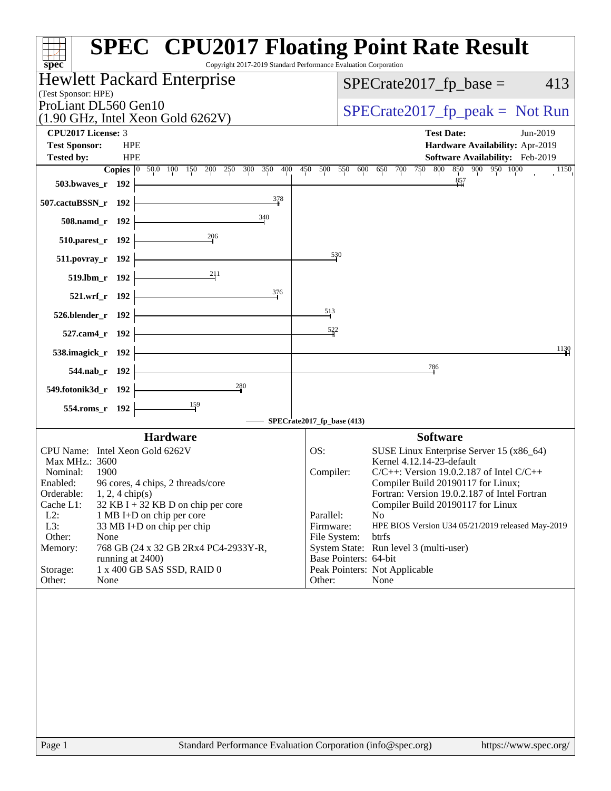| spec <sup>®</sup>                                                                        | <b>SPEC<sup>®</sup> CPU2017 Floating Point Rate Result</b><br>Copyright 2017-2019 Standard Performance Evaluation Corporation |
|------------------------------------------------------------------------------------------|-------------------------------------------------------------------------------------------------------------------------------|
| Hewlett Packard Enterprise<br>(Test Sponsor: HPE)                                        | $SPECrate2017_fp\_base =$<br>413                                                                                              |
| ProLiant DL560 Gen10<br>$(1.90 \text{ GHz}, \text{Intel Xeon Gold } 6262 \text{V})$      | $SPECrate2017_fp\_peak = Not Run$                                                                                             |
| CPU2017 License: 3                                                                       | <b>Test Date:</b><br>Jun-2019                                                                                                 |
| <b>HPE</b><br><b>Test Sponsor:</b>                                                       | Hardware Availability: Apr-2019                                                                                               |
| <b>HPE</b><br><b>Tested by:</b>                                                          | Software Availability: Feb-2019                                                                                               |
| Copies 0 50.0 100 150 200 250 300 350 400                                                | 450 500 550 600 650 700 750 800 850 900 950 1000<br>1150<br>$\frac{857}{111}$                                                 |
| 503.bwaves_r $192$ $\vdash$                                                              |                                                                                                                               |
| 378<br>$507$ .cactuBSSN_r 192                                                            |                                                                                                                               |
| $\frac{340}{4}$<br>$508$ .namd_r 192 $\vdash$                                            |                                                                                                                               |
| 510.parest_r 192 $\frac{206}{1}$                                                         |                                                                                                                               |
| $511. povray_r 192$                                                                      | $\frac{530}{2}$                                                                                                               |
| 519.lbm_r 192 $\begin{array}{ c c c }\n\hline\n& 211 \\ \hline\n\end{array}$             |                                                                                                                               |
| 376<br>$521.wrf_r 192$                                                                   |                                                                                                                               |
| 526.blender_r 192 $\vdash$                                                               | 513                                                                                                                           |
| $527$ .cam4_r 192 $\vdash$                                                               | 522                                                                                                                           |
| 538.imagick_r $192$                                                                      | 1130                                                                                                                          |
| $544.nab_r 192$                                                                          | 786                                                                                                                           |
| $\frac{280}{4}$<br>549.fotonik3d_r $192$                                                 |                                                                                                                               |
| $554$ .roms_r 192 $\vdash$                                                               |                                                                                                                               |
|                                                                                          | SPECrate2017_fp_base (413)                                                                                                    |
| <b>Hardware</b>                                                                          | <b>Software</b>                                                                                                               |
| CPU Name: Intel Xeon Gold 6262V                                                          | OS:<br>SUSE Linux Enterprise Server 15 (x86_64)                                                                               |
| Max MHz.: 3600<br>1900<br>Nominal:                                                       | Kernel 4.12.14-23-default<br>$C/C++$ : Version 19.0.2.187 of Intel $C/C++$<br>Compiler:                                       |
| 96 cores, 4 chips, 2 threads/core<br>Enabled:                                            | Compiler Build 20190117 for Linux;                                                                                            |
| Orderable:<br>$1, 2, 4$ chip(s)                                                          | Fortran: Version 19.0.2.187 of Intel Fortran                                                                                  |
| Cache L1:<br>$32$ KB I + 32 KB D on chip per core<br>$L2$ :<br>1 MB I+D on chip per core | Compiler Build 20190117 for Linux<br>Parallel:<br>N <sub>o</sub>                                                              |
| L3:<br>33 MB I+D on chip per chip                                                        | Firmware:<br>HPE BIOS Version U34 05/21/2019 released May-2019                                                                |
| Other:<br>None                                                                           | File System:<br><b>btrfs</b>                                                                                                  |
| Memory:<br>768 GB (24 x 32 GB 2Rx4 PC4-2933Y-R,<br>running at 2400)                      | System State: Run level 3 (multi-user)<br>Base Pointers: 64-bit                                                               |
| Storage:<br>1 x 400 GB SAS SSD, RAID 0                                                   | Peak Pointers: Not Applicable                                                                                                 |
| Other:<br>None                                                                           | Other:<br>None                                                                                                                |
|                                                                                          |                                                                                                                               |
|                                                                                          |                                                                                                                               |
|                                                                                          |                                                                                                                               |
|                                                                                          |                                                                                                                               |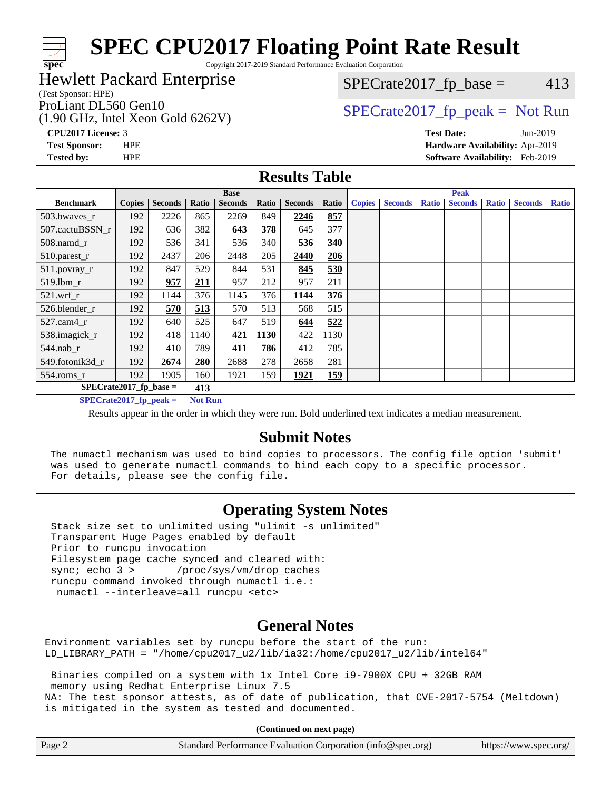Copyright 2017-2019 Standard Performance Evaluation Corporation

### Hewlett Packard Enterprise

(Test Sponsor: HPE)

**[spec](http://www.spec.org/)**

ti h

(1.90 GHz, Intel Xeon Gold 6262V) ProLiant DL560 Gen10  $SPECTA 626201$   $SPECTA 6262017$   $fp$  peak = Not Run

 $SPECTate2017<sub>fp</sub> base = 413$ 

**[Tested by:](http://www.spec.org/auto/cpu2017/Docs/result-fields.html#Testedby)** HPE **[Software Availability:](http://www.spec.org/auto/cpu2017/Docs/result-fields.html#SoftwareAvailability)** Feb-2019

**[CPU2017 License:](http://www.spec.org/auto/cpu2017/Docs/result-fields.html#CPU2017License)** 3 **[Test Date:](http://www.spec.org/auto/cpu2017/Docs/result-fields.html#TestDate)** Jun-2019 **[Test Sponsor:](http://www.spec.org/auto/cpu2017/Docs/result-fields.html#TestSponsor)** HPE **[Hardware Availability:](http://www.spec.org/auto/cpu2017/Docs/result-fields.html#HardwareAvailability)** Apr-2019

### **[Results Table](http://www.spec.org/auto/cpu2017/Docs/result-fields.html#ResultsTable)**

| <b>Base</b>                                  |               |                |       |                | <b>Peak</b> |                |            |               |                |              |                |              |                |              |
|----------------------------------------------|---------------|----------------|-------|----------------|-------------|----------------|------------|---------------|----------------|--------------|----------------|--------------|----------------|--------------|
| <b>Benchmark</b>                             | <b>Copies</b> | <b>Seconds</b> | Ratio | <b>Seconds</b> | Ratio       | <b>Seconds</b> | Ratio      | <b>Copies</b> | <b>Seconds</b> | <b>Ratio</b> | <b>Seconds</b> | <b>Ratio</b> | <b>Seconds</b> | <b>Ratio</b> |
| 503.bwaves_r                                 | 192           | 2226           | 865   | 2269           | 849         | 2246           | 857        |               |                |              |                |              |                |              |
| 507.cactuBSSN r                              | 192           | 636            | 382   | 643            | 378         | 645            | 377        |               |                |              |                |              |                |              |
| $508$ .namd $r$                              | 192           | 536            | 341   | 536            | 340         | 536            | 340        |               |                |              |                |              |                |              |
| 510.parest_r                                 | 192           | 2437           | 206   | 2448           | 205         | 2440           | 206        |               |                |              |                |              |                |              |
| 511.povray_r                                 | 192           | 847            | 529   | 844            | 531         | 845            | 530        |               |                |              |                |              |                |              |
| $519.1$ bm r                                 | 192           | 957            | 211   | 957            | 212         | 957            | 211        |               |                |              |                |              |                |              |
| $521$ .wrf r                                 | 192           | 1144           | 376   | 1145           | 376         | 1144           | 376        |               |                |              |                |              |                |              |
| 526.blender_r                                | 192           | 570            | 513   | 570            | 513         | 568            | 515        |               |                |              |                |              |                |              |
| $527$ .cam $4r$                              | 192           | 640            | 525   | 647            | 519         | 644            | 522        |               |                |              |                |              |                |              |
| 538.imagick_r                                | 192           | 418            | 1140  | 421            | <b>1130</b> | 422            | 1130       |               |                |              |                |              |                |              |
| 544.nab_r                                    | 192           | 410            | 789   | 411            | 786         | 412            | 785        |               |                |              |                |              |                |              |
| 549.fotonik3d r                              | 192           | 2674           | 280   | 2688           | 278         | 2658           | 281        |               |                |              |                |              |                |              |
| $554$ .roms $r$                              | 192           | 1905           | 160   | 1921           | 159         | 1921           | <u>159</u> |               |                |              |                |              |                |              |
| $SPECrate2017$ fp base =<br>413              |               |                |       |                |             |                |            |               |                |              |                |              |                |              |
| $SPECrate2017$ fp peak =<br><b>Not Run</b>   |               |                |       |                |             |                |            |               |                |              |                |              |                |              |
| .<br>$\cdot$ $\cdot$<br>$\cdot$ $\cdot$<br>. |               |                |       |                |             |                |            |               |                |              |                |              |                |              |

Results appear in the [order in which they were run](http://www.spec.org/auto/cpu2017/Docs/result-fields.html#RunOrder). Bold underlined text [indicates a median measurement.](http://www.spec.org/auto/cpu2017/Docs/result-fields.html#Median)

### **[Submit Notes](http://www.spec.org/auto/cpu2017/Docs/result-fields.html#SubmitNotes)**

 The numactl mechanism was used to bind copies to processors. The config file option 'submit' was used to generate numactl commands to bind each copy to a specific processor. For details, please see the config file.

### **[Operating System Notes](http://www.spec.org/auto/cpu2017/Docs/result-fields.html#OperatingSystemNotes)**

 Stack size set to unlimited using "ulimit -s unlimited" Transparent Huge Pages enabled by default Prior to runcpu invocation Filesystem page cache synced and cleared with: sync; echo 3 > /proc/sys/vm/drop\_caches runcpu command invoked through numactl i.e.: numactl --interleave=all runcpu <etc>

### **[General Notes](http://www.spec.org/auto/cpu2017/Docs/result-fields.html#GeneralNotes)**

Environment variables set by runcpu before the start of the run: LD\_LIBRARY\_PATH = "/home/cpu2017\_u2/lib/ia32:/home/cpu2017\_u2/lib/intel64"

 Binaries compiled on a system with 1x Intel Core i9-7900X CPU + 32GB RAM memory using Redhat Enterprise Linux 7.5 NA: The test sponsor attests, as of date of publication, that CVE-2017-5754 (Meltdown) is mitigated in the system as tested and documented.

**(Continued on next page)**

| Page 2<br>Standard Performance Evaluation Corporation (info@spec.org) | https://www.spec.org/ |
|-----------------------------------------------------------------------|-----------------------|
|-----------------------------------------------------------------------|-----------------------|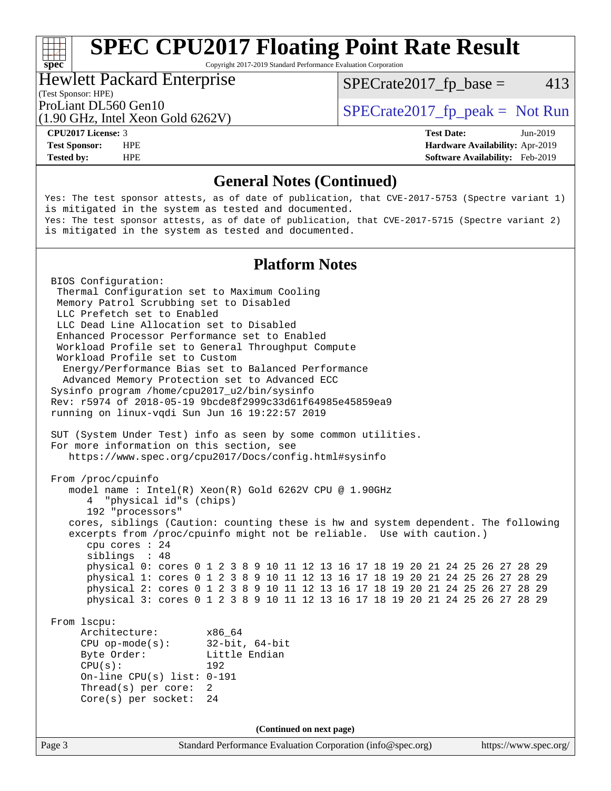Copyright 2017-2019 Standard Performance Evaluation Corporation

#### Hewlett Packard Enterprise

 $SPECTate2017<sub>fr</sub> base = 413$ 

### (Test Sponsor: HPE)

(1.90 GHz, Intel Xeon Gold 6262V)

ProLiant DL560 Gen10  $SPECrate2017$  fp\_peak = Not Run

**[spec](http://www.spec.org/)**

**[Tested by:](http://www.spec.org/auto/cpu2017/Docs/result-fields.html#Testedby)** HPE **[Software Availability:](http://www.spec.org/auto/cpu2017/Docs/result-fields.html#SoftwareAvailability)** Feb-2019

**[CPU2017 License:](http://www.spec.org/auto/cpu2017/Docs/result-fields.html#CPU2017License)** 3 **[Test Date:](http://www.spec.org/auto/cpu2017/Docs/result-fields.html#TestDate)** Jun-2019 **[Test Sponsor:](http://www.spec.org/auto/cpu2017/Docs/result-fields.html#TestSponsor)** HPE **[Hardware Availability:](http://www.spec.org/auto/cpu2017/Docs/result-fields.html#HardwareAvailability)** Apr-2019

### **[General Notes \(Continued\)](http://www.spec.org/auto/cpu2017/Docs/result-fields.html#GeneralNotes)**

Yes: The test sponsor attests, as of date of publication, that CVE-2017-5753 (Spectre variant 1) is mitigated in the system as tested and documented. Yes: The test sponsor attests, as of date of publication, that CVE-2017-5715 (Spectre variant 2) is mitigated in the system as tested and documented.

### **[Platform Notes](http://www.spec.org/auto/cpu2017/Docs/result-fields.html#PlatformNotes)**

Page 3 Standard Performance Evaluation Corporation [\(info@spec.org\)](mailto:info@spec.org) <https://www.spec.org/> BIOS Configuration: Thermal Configuration set to Maximum Cooling Memory Patrol Scrubbing set to Disabled LLC Prefetch set to Enabled LLC Dead Line Allocation set to Disabled Enhanced Processor Performance set to Enabled Workload Profile set to General Throughput Compute Workload Profile set to Custom Energy/Performance Bias set to Balanced Performance Advanced Memory Protection set to Advanced ECC Sysinfo program /home/cpu2017\_u2/bin/sysinfo Rev: r5974 of 2018-05-19 9bcde8f2999c33d61f64985e45859ea9 running on linux-vqdi Sun Jun 16 19:22:57 2019 SUT (System Under Test) info as seen by some common utilities. For more information on this section, see <https://www.spec.org/cpu2017/Docs/config.html#sysinfo> From /proc/cpuinfo model name : Intel(R) Xeon(R) Gold 6262V CPU @ 1.90GHz 4 "physical id"s (chips) 192 "processors" cores, siblings (Caution: counting these is hw and system dependent. The following excerpts from /proc/cpuinfo might not be reliable. Use with caution.) cpu cores : 24 siblings : 48 physical 0: cores 0 1 2 3 8 9 10 11 12 13 16 17 18 19 20 21 24 25 26 27 28 29 physical 1: cores 0 1 2 3 8 9 10 11 12 13 16 17 18 19 20 21 24 25 26 27 28 29 physical 2: cores 0 1 2 3 8 9 10 11 12 13 16 17 18 19 20 21 24 25 26 27 28 29 physical 3: cores 0 1 2 3 8 9 10 11 12 13 16 17 18 19 20 21 24 25 26 27 28 29 From lscpu: Architecture: x86\_64 CPU op-mode(s): 32-bit, 64-bit Byte Order: Little Endian CPU(s): 192 On-line CPU(s) list: 0-191 Thread(s) per core: 2 Core(s) per socket: 24 **(Continued on next page)**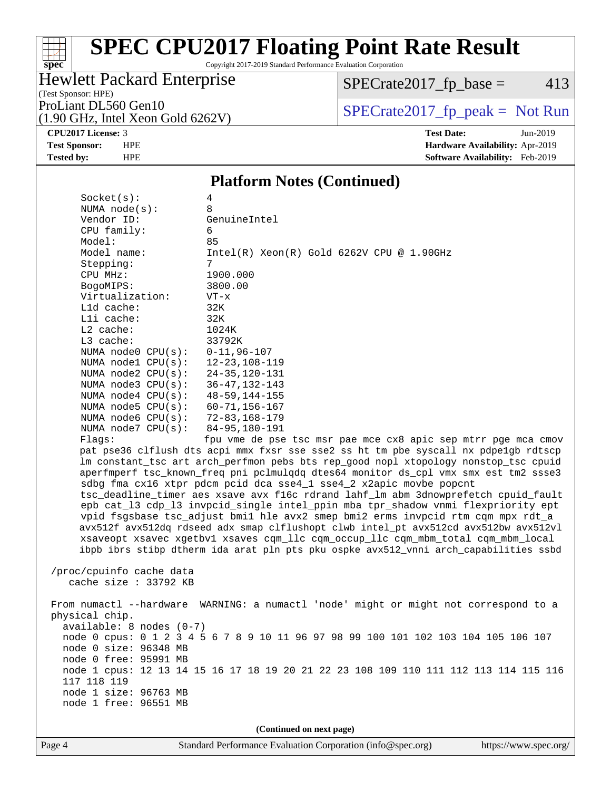Copyright 2017-2019 Standard Performance Evaluation Corporation

### Hewlett Packard Enterprise

 $SPECrate2017_fp\_base = 413$ 

(Test Sponsor: HPE)

**[spec](http://www.spec.org/)**

(1.90 GHz, Intel Xeon Gold 6262V)

ProLiant DL560 Gen10<br>(1.90 GHz, Intel Xeon Gold 6262V) [SPECrate2017\\_fp\\_peak =](http://www.spec.org/auto/cpu2017/Docs/result-fields.html#SPECrate2017fppeak) Not Run

**[CPU2017 License:](http://www.spec.org/auto/cpu2017/Docs/result-fields.html#CPU2017License)** 3 **[Test Date:](http://www.spec.org/auto/cpu2017/Docs/result-fields.html#TestDate)** Jun-2019 **[Test Sponsor:](http://www.spec.org/auto/cpu2017/Docs/result-fields.html#TestSponsor)** HPE **[Hardware Availability:](http://www.spec.org/auto/cpu2017/Docs/result-fields.html#HardwareAvailability)** Apr-2019 **[Tested by:](http://www.spec.org/auto/cpu2017/Docs/result-fields.html#Testedby)** HPE **[Software Availability:](http://www.spec.org/auto/cpu2017/Docs/result-fields.html#SoftwareAvailability)** Feb-2019

#### **[Platform Notes \(Continued\)](http://www.spec.org/auto/cpu2017/Docs/result-fields.html#PlatformNotes)**

| Socket(s):<br>NUMA $node(s):$<br>Vendor ID:<br>CPU family:<br>Model:<br>Model name:                                                                                                                                                                                                                                                                                                                                                                                                                                                                                                                                                                                                                                                                                                                                                                                      | 4<br>8<br>GenuineIntel<br>6<br>85<br>$Intel(R) Xeon(R) Gold 6262V CPU @ 1.90GHz$     |  |  |  |  |
|--------------------------------------------------------------------------------------------------------------------------------------------------------------------------------------------------------------------------------------------------------------------------------------------------------------------------------------------------------------------------------------------------------------------------------------------------------------------------------------------------------------------------------------------------------------------------------------------------------------------------------------------------------------------------------------------------------------------------------------------------------------------------------------------------------------------------------------------------------------------------|--------------------------------------------------------------------------------------|--|--|--|--|
| Stepping:<br>CPU MHz:                                                                                                                                                                                                                                                                                                                                                                                                                                                                                                                                                                                                                                                                                                                                                                                                                                                    | 7<br>1900.000                                                                        |  |  |  |  |
| BogoMIPS:                                                                                                                                                                                                                                                                                                                                                                                                                                                                                                                                                                                                                                                                                                                                                                                                                                                                | 3800.00                                                                              |  |  |  |  |
| Virtualization:                                                                                                                                                                                                                                                                                                                                                                                                                                                                                                                                                                                                                                                                                                                                                                                                                                                          | VT-x                                                                                 |  |  |  |  |
| L1d cache:                                                                                                                                                                                                                                                                                                                                                                                                                                                                                                                                                                                                                                                                                                                                                                                                                                                               | 32K                                                                                  |  |  |  |  |
| Lli cache:                                                                                                                                                                                                                                                                                                                                                                                                                                                                                                                                                                                                                                                                                                                                                                                                                                                               | 32K                                                                                  |  |  |  |  |
| $L2$ cache:                                                                                                                                                                                                                                                                                                                                                                                                                                                                                                                                                                                                                                                                                                                                                                                                                                                              | 1024K                                                                                |  |  |  |  |
| L3 cache:                                                                                                                                                                                                                                                                                                                                                                                                                                                                                                                                                                                                                                                                                                                                                                                                                                                                | 33792K                                                                               |  |  |  |  |
| NUMA node0 CPU(s):<br>NUMA $node1$ $CPU(s):$                                                                                                                                                                                                                                                                                                                                                                                                                                                                                                                                                                                                                                                                                                                                                                                                                             | $0 - 11, 96 - 107$<br>$12 - 23, 108 - 119$                                           |  |  |  |  |
| NUMA $node2$ $CPU(s):$                                                                                                                                                                                                                                                                                                                                                                                                                                                                                                                                                                                                                                                                                                                                                                                                                                                   | $24 - 35, 120 - 131$                                                                 |  |  |  |  |
| NUMA $node3$ $CPU(s):$                                                                                                                                                                                                                                                                                                                                                                                                                                                                                                                                                                                                                                                                                                                                                                                                                                                   | 36-47, 132-143                                                                       |  |  |  |  |
| NUMA node4 CPU(s):                                                                                                                                                                                                                                                                                                                                                                                                                                                                                                                                                                                                                                                                                                                                                                                                                                                       | $48 - 59, 144 - 155$                                                                 |  |  |  |  |
| NUMA $node5$ $CPU(s):$                                                                                                                                                                                                                                                                                                                                                                                                                                                                                                                                                                                                                                                                                                                                                                                                                                                   | $60 - 71, 156 - 167$                                                                 |  |  |  |  |
| NUMA $node6$ $CPU(s):$                                                                                                                                                                                                                                                                                                                                                                                                                                                                                                                                                                                                                                                                                                                                                                                                                                                   | $72 - 83, 168 - 179$                                                                 |  |  |  |  |
| NUMA $node7$ CPU $(s)$ :                                                                                                                                                                                                                                                                                                                                                                                                                                                                                                                                                                                                                                                                                                                                                                                                                                                 | 84-95,180-191                                                                        |  |  |  |  |
| Flags:                                                                                                                                                                                                                                                                                                                                                                                                                                                                                                                                                                                                                                                                                                                                                                                                                                                                   | fpu vme de pse tsc msr pae mce cx8 apic sep mtrr pge mca cmov                        |  |  |  |  |
| pat pse36 clflush dts acpi mmx fxsr sse sse2 ss ht tm pbe syscall nx pdpelgb rdtscp<br>lm constant_tsc art arch_perfmon pebs bts rep_good nopl xtopology nonstop_tsc cpuid<br>aperfmperf tsc_known_freq pni pclmulqdq dtes64 monitor ds_cpl vmx smx est tm2 ssse3<br>sdbg fma cx16 xtpr pdcm pcid dca sse4_1 sse4_2 x2apic movbe popcnt<br>tsc_deadline_timer aes xsave avx f16c rdrand lahf_lm abm 3dnowprefetch cpuid_fault<br>epb cat_13 cdp_13 invpcid_single intel_ppin mba tpr_shadow vnmi flexpriority ept<br>vpid fsgsbase tsc_adjust bmil hle avx2 smep bmi2 erms invpcid rtm cqm mpx rdt_a<br>avx512f avx512dq rdseed adx smap clflushopt clwb intel_pt avx512cd avx512bw avx512vl<br>xsaveopt xsavec xgetbvl xsaves cqm_llc cqm_occup_llc cqm_mbm_total cqm_mbm_local<br>ibpb ibrs stibp dtherm ida arat pln pts pku ospke avx512_vnni arch_capabilities ssbd |                                                                                      |  |  |  |  |
| /proc/cpuinfo cache data<br>cache size : 33792 KB                                                                                                                                                                                                                                                                                                                                                                                                                                                                                                                                                                                                                                                                                                                                                                                                                        |                                                                                      |  |  |  |  |
| From numactl --hardware WARNING: a numactl 'node' might or might not correspond to a<br>physical chip.<br>$available: 8 nodes (0-7)$                                                                                                                                                                                                                                                                                                                                                                                                                                                                                                                                                                                                                                                                                                                                     |                                                                                      |  |  |  |  |
| node 0 cpus: 0 1 2 3 4 5 6 7 8 9 10 11 96 97 98 99 100 101 102 103 104 105 106 107                                                                                                                                                                                                                                                                                                                                                                                                                                                                                                                                                                                                                                                                                                                                                                                       |                                                                                      |  |  |  |  |
| node 0 size: 96348 MB                                                                                                                                                                                                                                                                                                                                                                                                                                                                                                                                                                                                                                                                                                                                                                                                                                                    |                                                                                      |  |  |  |  |
| node 0 free: 95991 MB                                                                                                                                                                                                                                                                                                                                                                                                                                                                                                                                                                                                                                                                                                                                                                                                                                                    |                                                                                      |  |  |  |  |
|                                                                                                                                                                                                                                                                                                                                                                                                                                                                                                                                                                                                                                                                                                                                                                                                                                                                          | node 1 cpus: 12 13 14 15 16 17 18 19 20 21 22 23 108 109 110 111 112 113 114 115 116 |  |  |  |  |
| 117 118 119<br>node 1 size: 96763 MB                                                                                                                                                                                                                                                                                                                                                                                                                                                                                                                                                                                                                                                                                                                                                                                                                                     |                                                                                      |  |  |  |  |
| node 1 free: 96551 MB                                                                                                                                                                                                                                                                                                                                                                                                                                                                                                                                                                                                                                                                                                                                                                                                                                                    |                                                                                      |  |  |  |  |
|                                                                                                                                                                                                                                                                                                                                                                                                                                                                                                                                                                                                                                                                                                                                                                                                                                                                          |                                                                                      |  |  |  |  |
| (Continued on next page)                                                                                                                                                                                                                                                                                                                                                                                                                                                                                                                                                                                                                                                                                                                                                                                                                                                 |                                                                                      |  |  |  |  |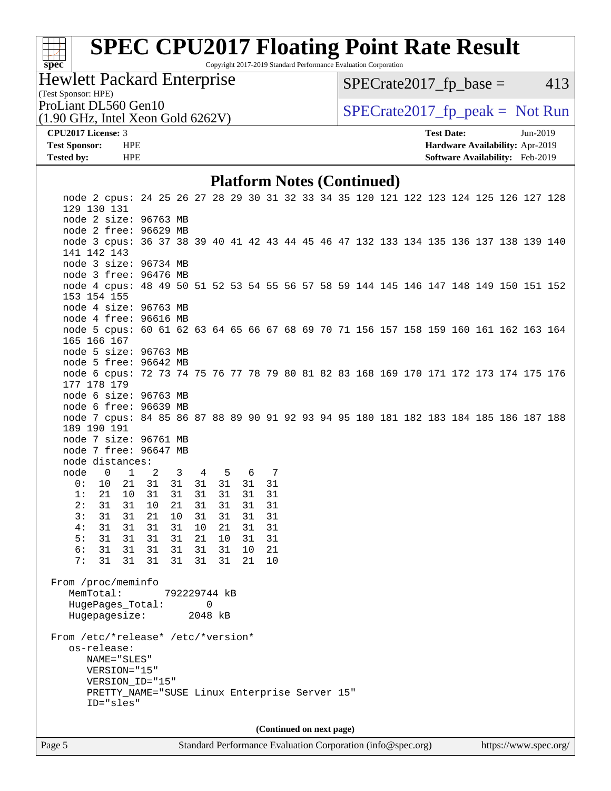# **[spec](http://www.spec.org/)**<sup>®</sup>

# **[SPEC CPU2017 Floating Point Rate Result](http://www.spec.org/auto/cpu2017/Docs/result-fields.html#SPECCPU2017FloatingPointRateResult)**

Copyright 2017-2019 Standard Performance Evaluation Corporation

### Hewlett Packard Enterprise

 $SPECTate2017<sub>fp</sub> base = 413$ 

### (Test Sponsor: HPE)

(1.90 GHz, Intel Xeon Gold 6262V)

ProLiant DL560 Gen10  $SPECrate2017$  fp\_peak = Not Run

#### **[CPU2017 License:](http://www.spec.org/auto/cpu2017/Docs/result-fields.html#CPU2017License)** 3 **[Test Date:](http://www.spec.org/auto/cpu2017/Docs/result-fields.html#TestDate)** Jun-2019 **[Test Sponsor:](http://www.spec.org/auto/cpu2017/Docs/result-fields.html#TestSponsor)** HPE **[Hardware Availability:](http://www.spec.org/auto/cpu2017/Docs/result-fields.html#HardwareAvailability)** Apr-2019 **[Tested by:](http://www.spec.org/auto/cpu2017/Docs/result-fields.html#Testedby)** HPE **[Software Availability:](http://www.spec.org/auto/cpu2017/Docs/result-fields.html#SoftwareAvailability)** Feb-2019

#### **[Platform Notes \(Continued\)](http://www.spec.org/auto/cpu2017/Docs/result-fields.html#PlatformNotes)**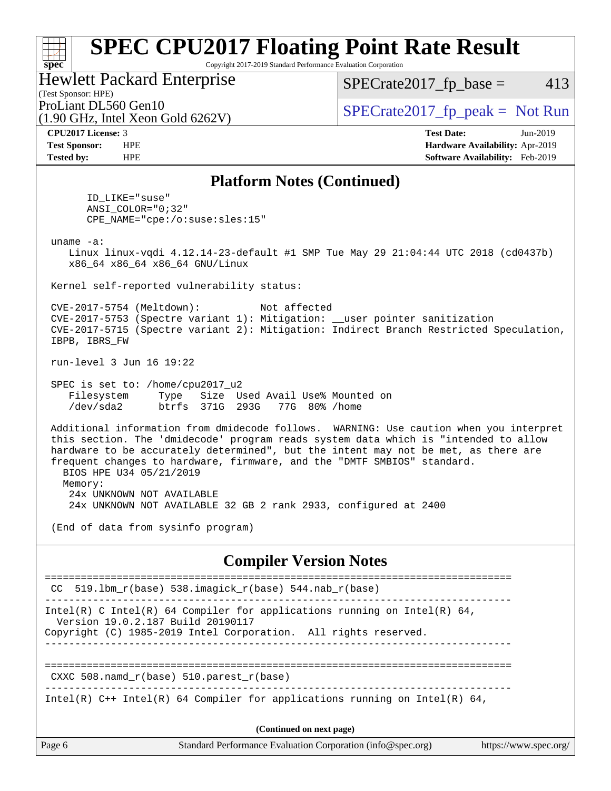Copyright 2017-2019 Standard Performance Evaluation Corporation

Hewlett Packard Enterprise

 $SPECTate2017<sub>fp</sub> base = 413$ 

## (Test Sponsor: HPE)

(1.90 GHz, Intel Xeon Gold 6262V)

ProLiant DL560 Gen10  $SPECrate2017$  fp\_peak = Not Run

**[spec](http://www.spec.org/)**

 $\pm r$ 

**[CPU2017 License:](http://www.spec.org/auto/cpu2017/Docs/result-fields.html#CPU2017License)** 3 **[Test Date:](http://www.spec.org/auto/cpu2017/Docs/result-fields.html#TestDate)** Jun-2019 **[Test Sponsor:](http://www.spec.org/auto/cpu2017/Docs/result-fields.html#TestSponsor)** HPE **[Hardware Availability:](http://www.spec.org/auto/cpu2017/Docs/result-fields.html#HardwareAvailability)** Apr-2019 **[Tested by:](http://www.spec.org/auto/cpu2017/Docs/result-fields.html#Testedby)** HPE **[Software Availability:](http://www.spec.org/auto/cpu2017/Docs/result-fields.html#SoftwareAvailability)** Feb-2019

### **[Platform Notes \(Continued\)](http://www.spec.org/auto/cpu2017/Docs/result-fields.html#PlatformNotes)**

 ID\_LIKE="suse" ANSI\_COLOR="0;32" CPE\_NAME="cpe:/o:suse:sles:15"

uname -a:

 Linux linux-vqdi 4.12.14-23-default #1 SMP Tue May 29 21:04:44 UTC 2018 (cd0437b) x86\_64 x86\_64 x86\_64 GNU/Linux

Kernel self-reported vulnerability status:

 CVE-2017-5754 (Meltdown): Not affected CVE-2017-5753 (Spectre variant 1): Mitigation: \_\_user pointer sanitization CVE-2017-5715 (Spectre variant 2): Mitigation: Indirect Branch Restricted Speculation, IBPB, IBRS\_FW

run-level 3 Jun 16 19:22

 SPEC is set to: /home/cpu2017\_u2 Filesystem Type Size Used Avail Use% Mounted on /dev/sda2 btrfs 371G 293G 77G 80% /home

 Additional information from dmidecode follows. WARNING: Use caution when you interpret this section. The 'dmidecode' program reads system data which is "intended to allow hardware to be accurately determined", but the intent may not be met, as there are frequent changes to hardware, firmware, and the "DMTF SMBIOS" standard. BIOS HPE U34 05/21/2019 Memory: 24x UNKNOWN NOT AVAILABLE

24x UNKNOWN NOT AVAILABLE 32 GB 2 rank 2933, configured at 2400

(End of data from sysinfo program)

### **[Compiler Version Notes](http://www.spec.org/auto/cpu2017/Docs/result-fields.html#CompilerVersionNotes)**

|                                   | CC 519.1bm $r(base)$ 538.imagick $r(base)$ 544.nab $r(base)$                                                                                |                       |  |
|-----------------------------------|---------------------------------------------------------------------------------------------------------------------------------------------|-----------------------|--|
| Version 19.0.2.187 Build 20190117 | Intel(R) C Intel(R) 64 Compiler for applications running on Intel(R) 64,<br>Copyright (C) 1985-2019 Intel Corporation. All rights reserved. |                       |  |
|                                   | CXXC 508. namd $r(base)$ 510. parest $r(base)$                                                                                              |                       |  |
|                                   | Intel(R) $C++$ Intel(R) 64 Compiler for applications running on Intel(R) 64,                                                                |                       |  |
| (Continued on next page)          |                                                                                                                                             |                       |  |
| Page 6                            | Standard Performance Evaluation Corporation (info@spec.org)                                                                                 | https://www.spec.org/ |  |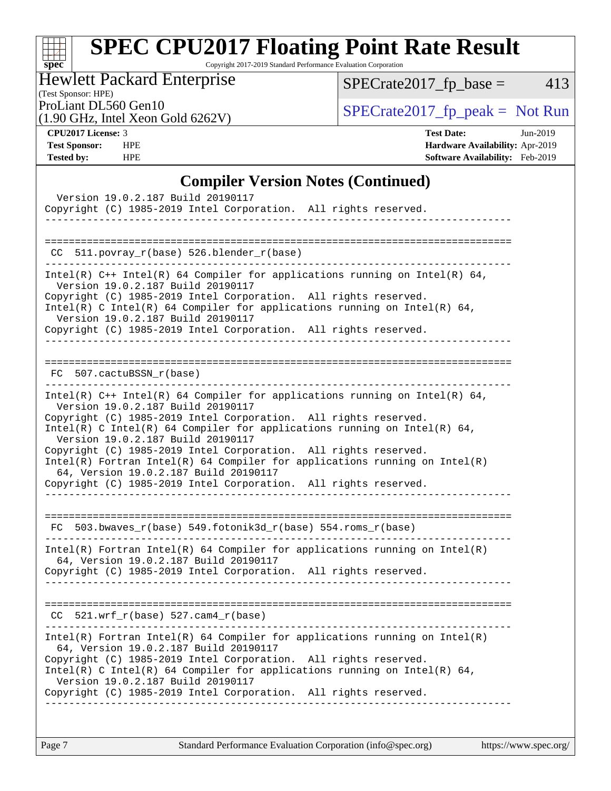# **[spec](http://www.spec.org/)**

# **[SPEC CPU2017 Floating Point Rate Result](http://www.spec.org/auto/cpu2017/Docs/result-fields.html#SPECCPU2017FloatingPointRateResult)**

Copyright 2017-2019 Standard Performance Evaluation Corporation

Hewlett Packard Enterprise

 $SPECrate2017_fp\_base = 413$ 

### (Test Sponsor: HPE)

(1.90 GHz, Intel Xeon Gold 6262V)

ProLiant DL560 Gen10<br>(1.90 GHz, Intel Xeon Gold 6262V) [SPECrate2017\\_fp\\_peak =](http://www.spec.org/auto/cpu2017/Docs/result-fields.html#SPECrate2017fppeak) Not Run

**[CPU2017 License:](http://www.spec.org/auto/cpu2017/Docs/result-fields.html#CPU2017License)** 3 **[Test Date:](http://www.spec.org/auto/cpu2017/Docs/result-fields.html#TestDate)** Jun-2019 **[Test Sponsor:](http://www.spec.org/auto/cpu2017/Docs/result-fields.html#TestSponsor)** HPE **[Hardware Availability:](http://www.spec.org/auto/cpu2017/Docs/result-fields.html#HardwareAvailability)** Apr-2019 **[Tested by:](http://www.spec.org/auto/cpu2017/Docs/result-fields.html#Testedby)** HPE **[Software Availability:](http://www.spec.org/auto/cpu2017/Docs/result-fields.html#SoftwareAvailability)** Feb-2019

### **[Compiler Version Notes \(Continued\)](http://www.spec.org/auto/cpu2017/Docs/result-fields.html#CompilerVersionNotes)**

| Version 19.0.2.187 Build 20190117<br>Copyright (C) 1985-2019 Intel Corporation. All rights reserved.<br>. _ _ _ _ _ _ _ _ _ _ _ _ _ _ _ _                                                                                                                                                                                                                                                                                                                                                                                                                                             |
|---------------------------------------------------------------------------------------------------------------------------------------------------------------------------------------------------------------------------------------------------------------------------------------------------------------------------------------------------------------------------------------------------------------------------------------------------------------------------------------------------------------------------------------------------------------------------------------|
| CC 511.povray_r(base) 526.blender_r(base)                                                                                                                                                                                                                                                                                                                                                                                                                                                                                                                                             |
| Intel(R) $C++$ Intel(R) 64 Compiler for applications running on Intel(R) 64,<br>Version 19.0.2.187 Build 20190117<br>Copyright (C) 1985-2019 Intel Corporation. All rights reserved.<br>Intel(R) C Intel(R) 64 Compiler for applications running on Intel(R) 64,<br>Version 19.0.2.187 Build 20190117<br>Copyright (C) 1985-2019 Intel Corporation. All rights reserved.                                                                                                                                                                                                              |
| FC 507.cactuBSSN_r(base)                                                                                                                                                                                                                                                                                                                                                                                                                                                                                                                                                              |
| Intel(R) $C++$ Intel(R) 64 Compiler for applications running on Intel(R) 64,<br>Version 19.0.2.187 Build 20190117<br>Copyright (C) 1985-2019 Intel Corporation. All rights reserved.<br>Intel(R) C Intel(R) 64 Compiler for applications running on Intel(R) 64,<br>Version 19.0.2.187 Build 20190117<br>Copyright (C) 1985-2019 Intel Corporation. All rights reserved.<br>$Intel(R)$ Fortran Intel(R) 64 Compiler for applications running on Intel(R)<br>64, Version 19.0.2.187 Build 20190117<br>Copyright (C) 1985-2019 Intel Corporation. All rights reserved.<br>------------- |
| FC 503.bwaves_r(base) 549.fotonik3d_r(base) 554.roms_r(base)                                                                                                                                                                                                                                                                                                                                                                                                                                                                                                                          |
| $Intel(R)$ Fortran Intel(R) 64 Compiler for applications running on Intel(R)<br>64, Version 19.0.2.187 Build 20190117<br>Copyright (C) 1985-2019 Intel Corporation. All rights reserved.                                                                                                                                                                                                                                                                                                                                                                                              |
| $CC$ 521.wrf_r(base) 527.cam4_r(base)                                                                                                                                                                                                                                                                                                                                                                                                                                                                                                                                                 |
| Intel(R) Fortran Intel(R) 64 Compiler for applications running on Intel(R)<br>64, Version 19.0.2.187 Build 20190117<br>Copyright (C) 1985-2019 Intel Corporation. All rights reserved.<br>Intel(R) C Intel(R) 64 Compiler for applications running on Intel(R) 64,<br>Version 19.0.2.187 Build 20190117<br>Copyright (C) 1985-2019 Intel Corporation. All rights reserved.<br>-------------------------------------<br>. <u>.</u>                                                                                                                                                     |
|                                                                                                                                                                                                                                                                                                                                                                                                                                                                                                                                                                                       |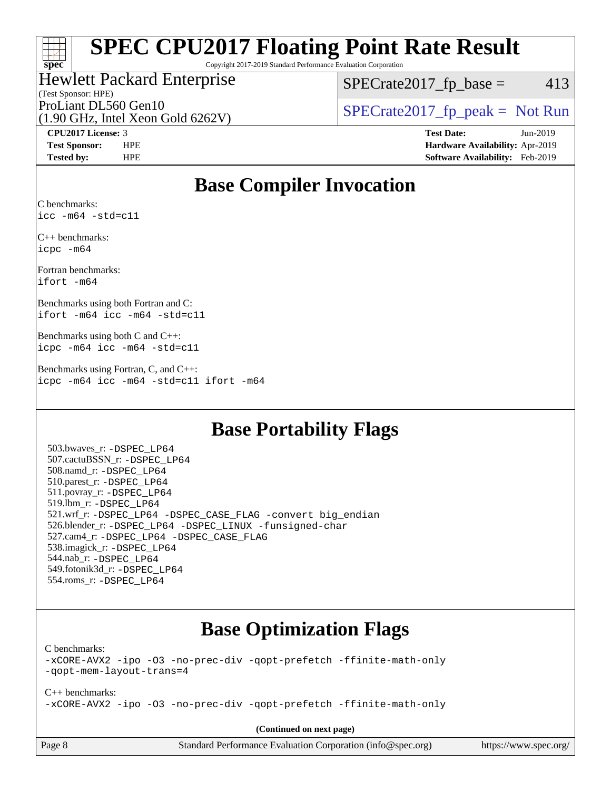### $\pm\pm\tau$ **[spec](http://www.spec.org/)**

# **[SPEC CPU2017 Floating Point Rate Result](http://www.spec.org/auto/cpu2017/Docs/result-fields.html#SPECCPU2017FloatingPointRateResult)**

Copyright 2017-2019 Standard Performance Evaluation Corporation

#### (Test Sponsor: HPE) Hewlett Packard Enterprise

 $SPECTate2017<sub>fp</sub> base = 413$ 

(1.90 GHz, Intel Xeon Gold 6262V)

ProLiant DL560 Gen10  $SPECrate2017$  fp\_peak = Not Run

**[CPU2017 License:](http://www.spec.org/auto/cpu2017/Docs/result-fields.html#CPU2017License)** 3 **[Test Date:](http://www.spec.org/auto/cpu2017/Docs/result-fields.html#TestDate)** Jun-2019 **[Test Sponsor:](http://www.spec.org/auto/cpu2017/Docs/result-fields.html#TestSponsor)** HPE **[Hardware Availability:](http://www.spec.org/auto/cpu2017/Docs/result-fields.html#HardwareAvailability)** Apr-2019 **[Tested by:](http://www.spec.org/auto/cpu2017/Docs/result-fields.html#Testedby)** HPE **[Software Availability:](http://www.spec.org/auto/cpu2017/Docs/result-fields.html#SoftwareAvailability)** Feb-2019

## **[Base Compiler Invocation](http://www.spec.org/auto/cpu2017/Docs/result-fields.html#BaseCompilerInvocation)**

[C benchmarks](http://www.spec.org/auto/cpu2017/Docs/result-fields.html#Cbenchmarks): [icc -m64 -std=c11](http://www.spec.org/cpu2017/results/res2019q3/cpu2017-20190625-15752.flags.html#user_CCbase_intel_icc_64bit_c11_33ee0cdaae7deeeab2a9725423ba97205ce30f63b9926c2519791662299b76a0318f32ddfffdc46587804de3178b4f9328c46fa7c2b0cd779d7a61945c91cd35)

[C++ benchmarks](http://www.spec.org/auto/cpu2017/Docs/result-fields.html#CXXbenchmarks): [icpc -m64](http://www.spec.org/cpu2017/results/res2019q3/cpu2017-20190625-15752.flags.html#user_CXXbase_intel_icpc_64bit_4ecb2543ae3f1412ef961e0650ca070fec7b7afdcd6ed48761b84423119d1bf6bdf5cad15b44d48e7256388bc77273b966e5eb805aefd121eb22e9299b2ec9d9)

[Fortran benchmarks:](http://www.spec.org/auto/cpu2017/Docs/result-fields.html#Fortranbenchmarks) [ifort -m64](http://www.spec.org/cpu2017/results/res2019q3/cpu2017-20190625-15752.flags.html#user_FCbase_intel_ifort_64bit_24f2bb282fbaeffd6157abe4f878425411749daecae9a33200eee2bee2fe76f3b89351d69a8130dd5949958ce389cf37ff59a95e7a40d588e8d3a57e0c3fd751)

[Benchmarks using both Fortran and C](http://www.spec.org/auto/cpu2017/Docs/result-fields.html#BenchmarksusingbothFortranandC): [ifort -m64](http://www.spec.org/cpu2017/results/res2019q3/cpu2017-20190625-15752.flags.html#user_CC_FCbase_intel_ifort_64bit_24f2bb282fbaeffd6157abe4f878425411749daecae9a33200eee2bee2fe76f3b89351d69a8130dd5949958ce389cf37ff59a95e7a40d588e8d3a57e0c3fd751) [icc -m64 -std=c11](http://www.spec.org/cpu2017/results/res2019q3/cpu2017-20190625-15752.flags.html#user_CC_FCbase_intel_icc_64bit_c11_33ee0cdaae7deeeab2a9725423ba97205ce30f63b9926c2519791662299b76a0318f32ddfffdc46587804de3178b4f9328c46fa7c2b0cd779d7a61945c91cd35)

[Benchmarks using both C and C++:](http://www.spec.org/auto/cpu2017/Docs/result-fields.html#BenchmarksusingbothCandCXX) [icpc -m64](http://www.spec.org/cpu2017/results/res2019q3/cpu2017-20190625-15752.flags.html#user_CC_CXXbase_intel_icpc_64bit_4ecb2543ae3f1412ef961e0650ca070fec7b7afdcd6ed48761b84423119d1bf6bdf5cad15b44d48e7256388bc77273b966e5eb805aefd121eb22e9299b2ec9d9) [icc -m64 -std=c11](http://www.spec.org/cpu2017/results/res2019q3/cpu2017-20190625-15752.flags.html#user_CC_CXXbase_intel_icc_64bit_c11_33ee0cdaae7deeeab2a9725423ba97205ce30f63b9926c2519791662299b76a0318f32ddfffdc46587804de3178b4f9328c46fa7c2b0cd779d7a61945c91cd35)

[Benchmarks using Fortran, C, and C++](http://www.spec.org/auto/cpu2017/Docs/result-fields.html#BenchmarksusingFortranCandCXX): [icpc -m64](http://www.spec.org/cpu2017/results/res2019q3/cpu2017-20190625-15752.flags.html#user_CC_CXX_FCbase_intel_icpc_64bit_4ecb2543ae3f1412ef961e0650ca070fec7b7afdcd6ed48761b84423119d1bf6bdf5cad15b44d48e7256388bc77273b966e5eb805aefd121eb22e9299b2ec9d9) [icc -m64 -std=c11](http://www.spec.org/cpu2017/results/res2019q3/cpu2017-20190625-15752.flags.html#user_CC_CXX_FCbase_intel_icc_64bit_c11_33ee0cdaae7deeeab2a9725423ba97205ce30f63b9926c2519791662299b76a0318f32ddfffdc46587804de3178b4f9328c46fa7c2b0cd779d7a61945c91cd35) [ifort -m64](http://www.spec.org/cpu2017/results/res2019q3/cpu2017-20190625-15752.flags.html#user_CC_CXX_FCbase_intel_ifort_64bit_24f2bb282fbaeffd6157abe4f878425411749daecae9a33200eee2bee2fe76f3b89351d69a8130dd5949958ce389cf37ff59a95e7a40d588e8d3a57e0c3fd751)

### **[Base Portability Flags](http://www.spec.org/auto/cpu2017/Docs/result-fields.html#BasePortabilityFlags)**

 503.bwaves\_r: [-DSPEC\\_LP64](http://www.spec.org/cpu2017/results/res2019q3/cpu2017-20190625-15752.flags.html#suite_basePORTABILITY503_bwaves_r_DSPEC_LP64) 507.cactuBSSN\_r: [-DSPEC\\_LP64](http://www.spec.org/cpu2017/results/res2019q3/cpu2017-20190625-15752.flags.html#suite_basePORTABILITY507_cactuBSSN_r_DSPEC_LP64) 508.namd\_r: [-DSPEC\\_LP64](http://www.spec.org/cpu2017/results/res2019q3/cpu2017-20190625-15752.flags.html#suite_basePORTABILITY508_namd_r_DSPEC_LP64) 510.parest\_r: [-DSPEC\\_LP64](http://www.spec.org/cpu2017/results/res2019q3/cpu2017-20190625-15752.flags.html#suite_basePORTABILITY510_parest_r_DSPEC_LP64) 511.povray\_r: [-DSPEC\\_LP64](http://www.spec.org/cpu2017/results/res2019q3/cpu2017-20190625-15752.flags.html#suite_basePORTABILITY511_povray_r_DSPEC_LP64) 519.lbm\_r: [-DSPEC\\_LP64](http://www.spec.org/cpu2017/results/res2019q3/cpu2017-20190625-15752.flags.html#suite_basePORTABILITY519_lbm_r_DSPEC_LP64) 521.wrf\_r: [-DSPEC\\_LP64](http://www.spec.org/cpu2017/results/res2019q3/cpu2017-20190625-15752.flags.html#suite_basePORTABILITY521_wrf_r_DSPEC_LP64) [-DSPEC\\_CASE\\_FLAG](http://www.spec.org/cpu2017/results/res2019q3/cpu2017-20190625-15752.flags.html#b521.wrf_r_baseCPORTABILITY_DSPEC_CASE_FLAG) [-convert big\\_endian](http://www.spec.org/cpu2017/results/res2019q3/cpu2017-20190625-15752.flags.html#user_baseFPORTABILITY521_wrf_r_convert_big_endian_c3194028bc08c63ac5d04de18c48ce6d347e4e562e8892b8bdbdc0214820426deb8554edfa529a3fb25a586e65a3d812c835984020483e7e73212c4d31a38223) 526.blender\_r: [-DSPEC\\_LP64](http://www.spec.org/cpu2017/results/res2019q3/cpu2017-20190625-15752.flags.html#suite_basePORTABILITY526_blender_r_DSPEC_LP64) [-DSPEC\\_LINUX](http://www.spec.org/cpu2017/results/res2019q3/cpu2017-20190625-15752.flags.html#b526.blender_r_baseCPORTABILITY_DSPEC_LINUX) [-funsigned-char](http://www.spec.org/cpu2017/results/res2019q3/cpu2017-20190625-15752.flags.html#user_baseCPORTABILITY526_blender_r_force_uchar_40c60f00ab013830e2dd6774aeded3ff59883ba5a1fc5fc14077f794d777847726e2a5858cbc7672e36e1b067e7e5c1d9a74f7176df07886a243d7cc18edfe67) 527.cam4\_r: [-DSPEC\\_LP64](http://www.spec.org/cpu2017/results/res2019q3/cpu2017-20190625-15752.flags.html#suite_basePORTABILITY527_cam4_r_DSPEC_LP64) [-DSPEC\\_CASE\\_FLAG](http://www.spec.org/cpu2017/results/res2019q3/cpu2017-20190625-15752.flags.html#b527.cam4_r_baseCPORTABILITY_DSPEC_CASE_FLAG) 538.imagick\_r: [-DSPEC\\_LP64](http://www.spec.org/cpu2017/results/res2019q3/cpu2017-20190625-15752.flags.html#suite_basePORTABILITY538_imagick_r_DSPEC_LP64) 544.nab\_r: [-DSPEC\\_LP64](http://www.spec.org/cpu2017/results/res2019q3/cpu2017-20190625-15752.flags.html#suite_basePORTABILITY544_nab_r_DSPEC_LP64) 549.fotonik3d\_r: [-DSPEC\\_LP64](http://www.spec.org/cpu2017/results/res2019q3/cpu2017-20190625-15752.flags.html#suite_basePORTABILITY549_fotonik3d_r_DSPEC_LP64) 554.roms\_r: [-DSPEC\\_LP64](http://www.spec.org/cpu2017/results/res2019q3/cpu2017-20190625-15752.flags.html#suite_basePORTABILITY554_roms_r_DSPEC_LP64)

## **[Base Optimization Flags](http://www.spec.org/auto/cpu2017/Docs/result-fields.html#BaseOptimizationFlags)**

[C benchmarks](http://www.spec.org/auto/cpu2017/Docs/result-fields.html#Cbenchmarks):

[-xCORE-AVX2](http://www.spec.org/cpu2017/results/res2019q3/cpu2017-20190625-15752.flags.html#user_CCbase_f-xCORE-AVX2) [-ipo](http://www.spec.org/cpu2017/results/res2019q3/cpu2017-20190625-15752.flags.html#user_CCbase_f-ipo) [-O3](http://www.spec.org/cpu2017/results/res2019q3/cpu2017-20190625-15752.flags.html#user_CCbase_f-O3) [-no-prec-div](http://www.spec.org/cpu2017/results/res2019q3/cpu2017-20190625-15752.flags.html#user_CCbase_f-no-prec-div) [-qopt-prefetch](http://www.spec.org/cpu2017/results/res2019q3/cpu2017-20190625-15752.flags.html#user_CCbase_f-qopt-prefetch) [-ffinite-math-only](http://www.spec.org/cpu2017/results/res2019q3/cpu2017-20190625-15752.flags.html#user_CCbase_f_finite_math_only_cb91587bd2077682c4b38af759c288ed7c732db004271a9512da14a4f8007909a5f1427ecbf1a0fb78ff2a814402c6114ac565ca162485bbcae155b5e4258871) [-qopt-mem-layout-trans=4](http://www.spec.org/cpu2017/results/res2019q3/cpu2017-20190625-15752.flags.html#user_CCbase_f-qopt-mem-layout-trans_fa39e755916c150a61361b7846f310bcdf6f04e385ef281cadf3647acec3f0ae266d1a1d22d972a7087a248fd4e6ca390a3634700869573d231a252c784941a8)

[C++ benchmarks:](http://www.spec.org/auto/cpu2017/Docs/result-fields.html#CXXbenchmarks) [-xCORE-AVX2](http://www.spec.org/cpu2017/results/res2019q3/cpu2017-20190625-15752.flags.html#user_CXXbase_f-xCORE-AVX2) [-ipo](http://www.spec.org/cpu2017/results/res2019q3/cpu2017-20190625-15752.flags.html#user_CXXbase_f-ipo) [-O3](http://www.spec.org/cpu2017/results/res2019q3/cpu2017-20190625-15752.flags.html#user_CXXbase_f-O3) [-no-prec-div](http://www.spec.org/cpu2017/results/res2019q3/cpu2017-20190625-15752.flags.html#user_CXXbase_f-no-prec-div) [-qopt-prefetch](http://www.spec.org/cpu2017/results/res2019q3/cpu2017-20190625-15752.flags.html#user_CXXbase_f-qopt-prefetch) [-ffinite-math-only](http://www.spec.org/cpu2017/results/res2019q3/cpu2017-20190625-15752.flags.html#user_CXXbase_f_finite_math_only_cb91587bd2077682c4b38af759c288ed7c732db004271a9512da14a4f8007909a5f1427ecbf1a0fb78ff2a814402c6114ac565ca162485bbcae155b5e4258871)

**(Continued on next page)**

| Page 8 |  |
|--------|--|
|--------|--|

Page 8 Standard Performance Evaluation Corporation [\(info@spec.org\)](mailto:info@spec.org) <https://www.spec.org/>